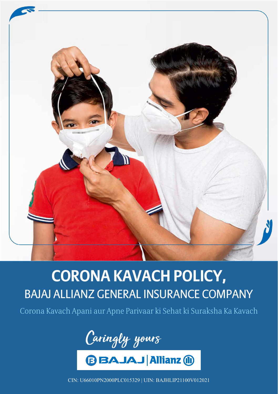

# **CORONA KAVACH POLICY,**  BAJAJ ALLIANZ GENERAL INSURANCE COMPANY

Corona Kavach Apani aur Apne Parivaar ki Sehat ki Suraksha Ka Kavach



**BBAJAJ Allianz (1)** 

CIN: U66010PN2000PLC015329 | UIN: BAJHLIP21100V012021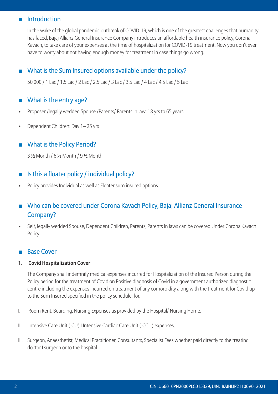# **Introduction**

 In the wake of the global pandemic outbreak of COVID-19, which is one of the greatest challenges that humanity has faced, Bajaj Allianz General Insurance Company introduces an affordable health insurance policy, Corona Kavach, to take care of your expenses at the time of hospitalization for COVID-19 treatment. Now you don't ever have to worry about not having enough money for treatment in case things go wrong.

# What is the Sum Insured options available under the policy?

 50,000 / 1 Lac / 1.5 Lac / 2 Lac / 2.5 Lac / 3 Lac / 3.5 Lac / 4 Lac / 4.5 Lac / 5 Lac

# ■ What is the entry age?

- Proposer /legally wedded Spouse /Parents/ Parents In law: 18 yrs to 65 years
- Dependent Children: Day 1-25 yrs

# **MARK What is the Policy Period?**

 3 ½ Month / 6 ½ Month / 9 ½ Month

# Is this a floater policy / individual policy?

Policy provides Individual as well as Floater sum insured options.

# Who can be covered under Corona Kavach Policy, Bajaj Allianz General Insurance Company?

Self, legally wedded Spouse, Dependent Children, Parents, Parents In laws can be covered Under Corona Kavach Policy

## **Base Cover**

### **1. Covid Hospitalization Cover**

 The Company shall indemnify medical expenses incurred for Hospitalization of the Insured Person during the Policy period for the treatment of Covid on Positive diagnosis of Covid in a government authorized diagnostic centre including the expenses incurred on treatment of any comorbidity along with the treatment for Covid up to the Sum Insured specified in the policy schedule, for,

- I. Room Rent, Boarding, Nursing Expenses as provided by the Hospital/ Nursing Home.
- II. Intensive Care Unit (ICU) I Intensive Cardiac Care Unit (ICCU) expenses.
- III. Surgeon, Anaesthetist, Medical Practitioner, Consultants, Specialist Fees whether paid directly to the treating doctor I surgeon or to the hospital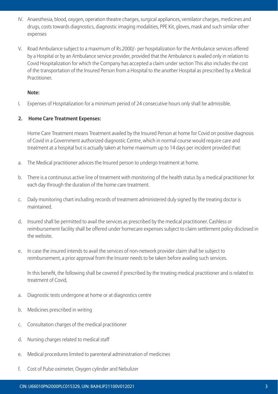- IV. Anaesthesia, blood, oxygen, operation theatre charges, surgical appliances, ventilator charges, medicines and drugs, costs towards diagnostics, diagnostic imaging modalities, PPE Kit, gloves, mask and such similar other expenses
- V. Road Ambulance subject to a maximum of Rs.2000/- per hospitalization for the Ambulance services offered by a Hospital or by an Ambulance service provider, provided that the Ambulance is availed only in relation to Covid Hospitalization for which the Company has accepted a claim under section This also includes the cost of the transportation of the Insured Person from a Hospital to the another Hospital as prescribed by a Medical Practitioner.

#### **Note:**

I. Expenses of Hospitalization for a minimum period of 24 consecutive hours only shall be admissible.

### **2. Home Care Treatment Expenses:**

 Home Care Treatment means Treatment availed by the Insured Person at home for Covid on positive diagnosis of Covid in a Government authorized diagnostic Centre, which in normal course would require care and treatment at a hospital but is actually taken at home maximum up to 14 days per incident provided that:

- a. The Medical practitioner advices the Insured person to undergo treatment at home.
- b. There is a continuous active line of treatment with monitoring of the health status by a medical practitioner for each day through the duration of the home care treatment.
- c. Daily monitoring chart including records of treatment administered duly signed by the treating doctor is maintained.
- d. Insured shall be permitted to avail the services as prescribed by the medical practitioner. Cashless or reimbursement facility shall be offered under homecare expenses subject to claim settlement policy disclosed in the website.
- e. In case the insured intends to avail the services of non-network provider claim shall be subject to reimbursement, a prior approval from the Insurer needs to be taken before availing such services.

 ln this benefit, the following shall be covered if prescribed by the treating medical practitioner and is related to treatment of Covid,

- a. Diagnostic tests undergone at home or at diagnostics centre
- b. Medicines prescribed in writing
- c. Consultation charges of the medical practitioner
- d. Nursing charges related to medical staff
- e. Medical procedures limited to parenteral administration of medicines
- f. Cost of Pulse oximeter, Oxygen cylinder and Nebulizer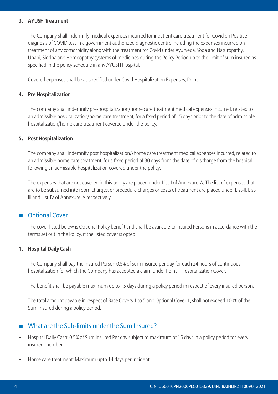#### **3. AYUSH Treatment**

 The Company shall indemnify medical expenses incurred for inpatient care treatment for Covid on Positive diagnosis of COVID test in a government authorized diagnostic centre including the expenses incurred on treatment of any comorbidity along with the treatment for Covid under Ayurveda, Yoga and Naturopathy, Unani, Siddha and Homeopathy systems of medicines during the Policy Period up to the limit of sum insured as specified in the policy schedule in any AYUSH Hospital.

 Covered expenses shall be as specified under Covid Hospitalization Expenses, Point 1.

#### **4. Pre Hospitalization**

 The company shall indemnify pre-hospitalization/home care treatment medical expenses incurred, related to an admissible hospitalization/home care treatment, for a fixed period of 15 days prior to the date of admissible hospitalization/home care treatment covered under the policy.

#### **5. Post Hospitalization**

 The company shall indemnify post hospitalization//home care treatment medical expenses incurred, related to an admissible home care treatment, for a fixed period of 30 days from the date of discharge from the hospital, following an admissible hospitalization covered under the policy.

 The expenses that are not covered in this policy are placed under List-I of Annexure-A. The list of expenses that are to be subsumed into room charges, or procedure charges or costs of treatment are placed under List-II, List-Ill and List-IV of Annexure-A respectively.

## **Department** Cover

 The cover listed below is Optional Policy benefit and shall be available to Insured Persons in accordance with the terms set out in the Policy, if the listed cover is opted

### **1. Hospital Daily Cash**

 The Company shall pay the Insured Person 0.5% of sum insured per day for each 24 hours of continuous hospitalization for which the Company has accepted a claim under Point 1 Hospitalization Cover.

 The benefit shall be payable maximum up to 15 days during a policy period in respect of every insured person.

 The total amount payable in respect of Base Covers 1 to 5 and Optional Cover 1, shall not exceed 100% of the Sum Insured during a policy period.

## What are the Sub-limits under the Sum Insured?

- Hospital Daily Cash: 0.5% of Sum Insured Per day subject to maximum of 15 days in a policy period for every insured member
- Home care treatment: Maximum upto 14 days per incident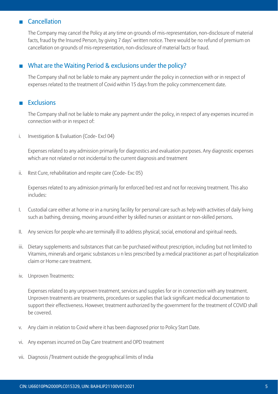## **Cancellation**

 The Company may cancel the Policy at any time on grounds of mis-representation, non-disclosure of material facts, fraud by the Insured Person, by giving 7 days' written notice. There would be no refund of premium on cancellation on grounds of mis-representation, non-disclosure of material facts or fraud.

# What are the Waiting Period & exclusions under the policy?

 The Company shall not be liable to make any payment under the policy in connection with or in respect of expenses related to the treatment of Covid within 15 days from the policy commencement date.

## **Exclusions**

 The Company shall not be liable to make any payment under the policy, in respect of any expenses incurred in connection with or in respect of:

i. Investigation & Evaluation (Code- Excl 04)

 Expenses related to any admission primarily for diagnostics and evaluation purposes. Any diagnostic expenses which are not related or not incidental to the current diagnosis and treatment

ii. Rest Cure, rehabilitation and respite care (Code- Exc 05)

 Expenses related to any admission primarily for enforced bed rest and not for receiving treatment. This also includes:

- I. Custodial care either at home or in a nursing facility for personal care such as help with activities of daily living such as bathing, dressing, moving around either by skilled nurses or assistant or non-skilled persons.
- II. Any services for people who are terminally ill to address physical, social, emotional and spiritual needs.
- iii. Dietary supplements and substances that can be purchased without prescription, including but not limited to Vitamins, minerals and organic substances u n less prescribed by a medical practitioner as part of hospitalization claim or Home care treatment.
- iv. Unproven Treatments:

 Expenses related to any unproven treatment, services and supplies for or in connection with any treatment. Unproven treatments are treatments, procedures or supplies that lack significant medical documentation to support their effectiveness. However, treatment authorized by the government for the treatment of COVID shall be covered.

- v. Any claim in relation to Covid where it has been diagnosed prior to Policy Start Date.
- vi. Any expenses incurred on Day Care treatment and OPD treatment
- vii. Diagnosis /Treatment outside the geographical limits of India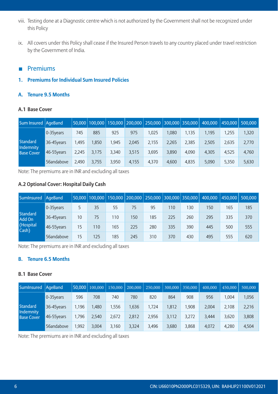- viii. Testing done at a Diagnostic centre which is not authorized by the Government shall not be recognized under this Policy
- ix. All covers under this Policy shall cease if the Insured Person travels to any country placed under travel restriction by the Government of India.

## **Premiums**

## **1. Premiums for Individual Sum Insured Policies**

## **A. Tenure 9.5 Months**

### **A.1 Base Cover**

| Sum Insured   AgeBand          |              |       |       |       |       | 50,000   100,000   150,000   200,000   250,000   300,000   350,000 |       |       | 400.000 | 450.000 500.000 |       |
|--------------------------------|--------------|-------|-------|-------|-------|--------------------------------------------------------------------|-------|-------|---------|-----------------|-------|
|                                | $0-35$ years | 745   | 885   | 925   | 975   | 1.025                                                              | .080  | 1.135 | 1.195   | 1.255           | 1,320 |
| <b>Standard</b>                | 36-45years   | 1.495 | 1.850 | 1.945 | 2.045 | 2,155                                                              | 2.265 | 2,385 | 2.505   | 2,635           | 2,770 |
| Indemnity<br><b>Base Cover</b> | 46-55years   | 2.245 | 3.175 | 3.340 | 3.515 | 3.695                                                              | 3.890 | 4,090 | 4.305   | 4.525           | 4,760 |
|                                | 56andabove   | 2.490 | 3.755 | 3.950 | 4.155 | 4.370                                                              | 4.600 | 4,835 | 5,090   | 5,350           | 5,630 |

Note: The premiums are in INR and excluding all taxes

## **A.2 Optional Cover: Hospital Daily Cash**

| SumInsured AgeBand        |             |    |     |     |     | 50.000   100.000   150.000   200.000   250.000   300.000   350.000 |     |     | 400.000 | 450.000 | 500,000 |
|---------------------------|-------------|----|-----|-----|-----|--------------------------------------------------------------------|-----|-----|---------|---------|---------|
|                           | 0-35 vears  |    | 35  | 55  | 75  | 95                                                                 | 110 | 130 | 150     | 165     | 185     |
| <b>Standard</b><br>Add On | 36-45 vears | 10 | 75  | 110 | 150 | 185                                                                | 225 | 260 | 295     | 335     | 370     |
| (Hospital<br>Cash)        | 46-55years  | 15 | 110 | 165 | 225 | 280                                                                | 335 | 390 | 445     | 500     | 555     |
|                           | 56andabove  | 15 | 125 | 185 | 245 | 310                                                                | 370 | 430 | 495     | 555     | 620     |

Note: The premiums are in INR and excluding all taxes

## **B. Tenure 6.5 Months**

## **B.1 Base Cover**

| SumInsured AgeBand             |             | 50.000 | 100,000 | 150,000 | 200,000 | 250,000 | 300,000 | 350,000 | 400,000 | 450,000 | 500,000 |
|--------------------------------|-------------|--------|---------|---------|---------|---------|---------|---------|---------|---------|---------|
|                                | 0-35years   | 596    | 708     | 740     | 780     | 820     | 864     | 908     | 956     | .004    | 1,056   |
| <b>Standard</b>                | 36-45 vears | 1.196  | 1.480   | 1.556   | 1.636   | 1.724   | 1.812   | ,908    | 2.004   | 2,108   | 2,216   |
| Indemnity<br><b>Base Cover</b> | 46-55years  | 1.796  | 2.540   | 2.672   | 2.812   | 2.956   | 3,112   | 3,272   | 3.444   | 3,620   | 3,808   |
|                                | 56andabove  | .992   | 3.004   | 3.160   | 3.324   | 3.496   | 3.680   | 3,868   | 4,072   | 4,280   | 4,504   |

Note: The premiums are in INR and excluding all taxes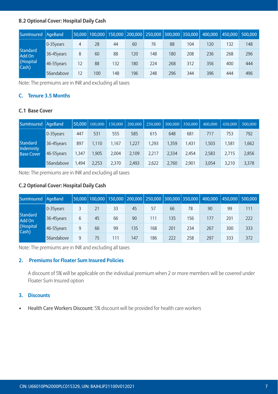## **B.2 Optional Cover: Hospital Daily Cash**

| SumInsured AgeBand        |             |    |     |     |     | 50.000   100.000   150.000   200.000   250.000   300.000   350.000 |     |     | 400.000 | 450.000 | 500,000 |
|---------------------------|-------------|----|-----|-----|-----|--------------------------------------------------------------------|-----|-----|---------|---------|---------|
|                           | 0-35 vears  | 4  | 28  | 44  | 60  | 76                                                                 | 88  | 104 | 120     | 132     | 148     |
| <b>Standard</b><br>Add On | 36-45years  | 8  | 60  | 88  | 120 | 148                                                                | 180 | 208 | 236     | 268     | 296     |
| (Hospital<br>Cash)        | 46-55 years | 12 | 88  | 132 | 180 | 224                                                                | 268 | 312 | 356     | 400     | 444     |
|                           | 56andabove  | 12 | 100 | 148 | 196 | 248                                                                | 296 | 344 | 396     | 444     | 496     |

Note: The premiums are in INR and excluding all taxes

## **C. Tenure 3.5 Months**

## **C.1 Base Cover**

| SumInsured   AgeBand           |              |       | 50.000 100,000 | 150,000 | 200,000 | 250,000 | 300,000 | 350,000 | 400,000 | 450,000 | 500,000 |
|--------------------------------|--------------|-------|----------------|---------|---------|---------|---------|---------|---------|---------|---------|
|                                | $0-35$ years | 447   | 531            | 555     | 585     | 615     | 648     | 681     | 717     | 753     | 792     |
| <b>Standard</b>                | 36-45years   | 897   | 1.110          | 1.167   | 1.227   | 1.293   | 1.359   | 1.431   | 1.503   | ,581    | .662    |
| Indemnity<br><b>Base Cover</b> | 46-55 years  | 1.347 | 1.905          | 2.004   | 2.109   | 2.217   | 2.334   | 2.454   | 2.583   | 2.715   | 2,856   |
|                                | 56andabove   | 1.494 | 2.253          | 2,370   | 2.493   | 2.622   | 2.760   | 2,901   | 3,054   | 3,210   | 3,378   |

Note: The premiums are in INR and excluding all taxes

## **C.2 Optional Cover: Hospital Daily Cash**

| SumInsured   AgeBand      |             |   |    |     |     | 50.000   100.000   150.000   200.000   250.000   300.000   350.000 |     |     | 400.000 | $\vert$ 450,000 $\vert$ | 500,000 |
|---------------------------|-------------|---|----|-----|-----|--------------------------------------------------------------------|-----|-----|---------|-------------------------|---------|
|                           | 0-35years   |   | 21 | 33  | 45  | 57                                                                 | 66  | 78  | 90      | 99                      | 111     |
| <b>Standard</b><br>Add On | 36-45years  | 6 | 45 | 66  | 90  | 111                                                                | 135 | 156 | 177     | 201                     | 222     |
| (Hospital<br>Cash)        | 46-55 years | 9 | 66 | 99  | 135 | 168                                                                | 201 | 234 | 267     | 300                     | 333     |
|                           | 56andabove  | 9 | 75 | 111 | 147 | 186                                                                | 222 | 258 | 297     | 333                     | 372     |

Note: The premiums are in INR and excluding all taxes

## **2. Premiums for Floater Sum Insured Policies**

 A discount of 5% will be applicable on the individual premium when 2 or more members will be covered under Floater Sum Insured option

## **3. Discounts**

• Health Care Workers Discount: 5% discount will be provided for health care workers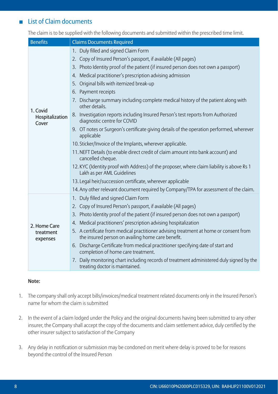# **List of Claim documents**

 The claim is to be supplied with the following documents and submitted within the prescribed time limit.

| <b>Benefits</b>          | <b>Claims Documents Required</b>                                                                                                           |
|--------------------------|--------------------------------------------------------------------------------------------------------------------------------------------|
|                          | Duly filled and signed Claim Form<br>$1_{-}$                                                                                               |
|                          | 2. Copy of Insured Person's passport, if available (All pages)                                                                             |
|                          | 3. Photo Identity proof of the patient (if insured person does not own a passport)                                                         |
|                          | 4. Medical practitioner's prescription advising admission                                                                                  |
|                          | 5. Original bills with itemized break-up                                                                                                   |
|                          | 6. Payment receipts                                                                                                                        |
| 1. Covid                 | 7. Discharge summary including complete medical history of the patient along with<br>other details.                                        |
| Hospitalization<br>Cover | 8. Investigation reports including Insured Person's test reports from Authorized<br>diagnostic centre for COVID                            |
|                          | 9. OT notes or Surgeon's certificate giving details of the operation performed, wherever<br>applicable                                     |
|                          | 10. Sticker/Invoice of the Implants, wherever applicable.                                                                                  |
|                          | 11. NEFT Details (to enable direct credit of claim amount into bank account) and<br>cancelled cheque.                                      |
|                          | 12. KYC (Identity proof with Address) of the proposer, where claim liability is above Rs 1<br>Lakh as per AML Guidelines                   |
|                          | 13. Legal heir/succession certificate, wherever applicable                                                                                 |
|                          | 14. Any other relevant document required by Company/TPA for assessment of the claim.                                                       |
|                          | 1. Duly filled and signed Claim Form                                                                                                       |
|                          | 2. Copy of Insured Person's passport, if available (All pages)                                                                             |
|                          | 3. Photo Identity proof of the patient (if insured person does not own a passport)                                                         |
| 2. Home Care             | 4. Medical practitioners' prescription advising hospitalization                                                                            |
| treatment<br>expenses    | 5. A certificate from medical practitioner advising treatment at home or consent from<br>the insured person on availing home care benefit. |
|                          | 6. Discharge Certificate from medical practitioner specifying date of start and<br>completion of home care treatment.                      |
|                          | 7. Daily monitoring chart including records of treatment administered duly signed by the<br>treating doctor is maintained.                 |

#### **Note:**

- 1. The company shall only accept bills/invoices/medical treatment related documents only in the Insured Person's name for whom the claim is submitted
- 2. In the event of a claim lodged under the Policy and the original documents having been submitted to any other insurer, the Company shall accept the copy of the documents and claim settlement advice, duly certified by the other insurer subject to satisfaction of the Company
- 3. Any delay in notification or submission may be condoned on merit where delay is proved to be for reasons beyond the control of the Insured Person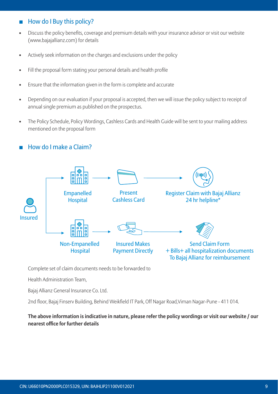# How do I Buy this policy?

- Discuss the policy benefits, coverage and premium details with your insurance advisor or visit our website (www.bajajallianz.com) for details
- Actively seek information on the charges and exclusions under the policy
- Fill the proposal form stating your personal details and health profile
- Ensure that the information given in the form is complete and accurate
- • Depending on our evaluation if your proposal is accepted, then we will issue the policy subject to receipt of annual single premium as published on the prospectus.
- • The Policy Schedule, Policy Wordings, Cashless Cards and Health Guide will be sent to your mailing address mentioned on the proposal form

# How do I make a Claim?



Complete set of claim documents needs to be forwarded to

 Health Administration Team,

 Bajaj Allianz General Insurance Co. Ltd.

 2nd floor, Bajaj Finserv Building, Behind Weikfield IT Park, Off Nagar Road,Viman Nagar-Pune - 411 014. 

**The above information is indicative in nature, please refer the policy wordings or visit our website / our nearest office for further details**